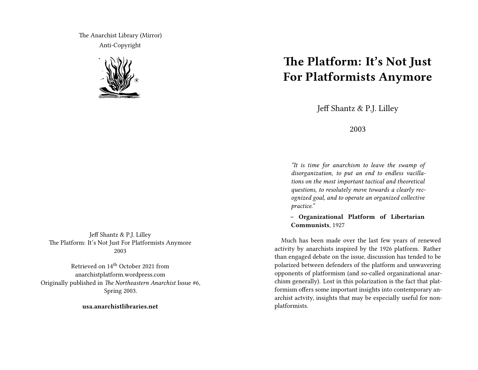The Anarchist Library (Mirror) Anti-Copyright



Jeff Shantz & P.J. Lilley The Platform: It's Not Just For Platformists Anymore 2003

Retrieved on 14th October 2021 from anarchistplatform.wordpress.com Originally published in *The Northeastern Anarchist* Issue #6, Spring 2003.

**usa.anarchistlibraries.net**

## **The Platform: It's Not Just For Platformists Anymore**

Jeff Shantz & P.J. Lilley

2003

*"It is time for anarchism to leave the swamp of disorganization, to put an end to endless vacillations on the most important tactical and theoretical questions, to resolutely move towards a clearly recognized goal, and to operate an organized collective practice."*

**– Organizational Platform of Libertarian Communists**, 1927

Much has been made over the last few years of renewed activity by anarchists inspired by the 1926 platform. Rather than engaged debate on the issue, discussion has tended to be polarized between defenders of the platform and unwavering opponents of platformism (and so-called organizational anarchism generally). Lost in this polarization is the fact that platformism offers some important insights into contemporary anarchist actvity, insights that may be especially useful for nonplatformists.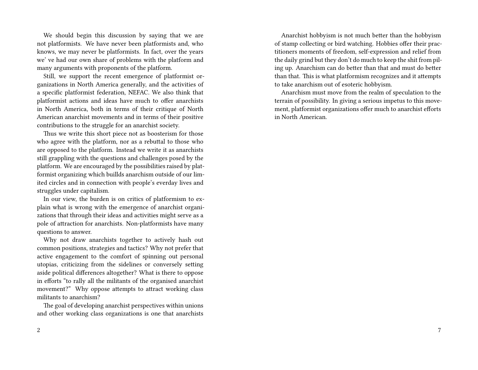We should begin this discussion by saying that we are not platformists. We have never been platformists and, who knows, we may never be platformists. In fact, over the years we' ve had our own share of problems with the platform and many arguments with proponents of the platform.

Still, we support the recent emergence of platformist organizations in North America generally, and the activities of a specific platformist federation, NEFAC. We also think that platformist actions and ideas have much to offer anarchists in North America, both in terms of their critique of North American anarchist movements and in terms of their positive contributions to the struggle for an anarchist society.

Thus we write this short piece not as boosterism for those who agree with the platform, nor as a rebuttal to those who are opposed to the platform. Instead we write it as anarchists still grappling with the questions and challenges posed by the platform. We are encouraged by the possibilities raised by platformist organizing which buillds anarchism outside of our limited circles and in connection with people's everday lives and struggles under capitalism.

In our view, the burden is on critics of platformism to explain what is wrong with the emergence of anarchist organizations that through their ideas and activities might serve as a pole of attraction for anarchists. Non-platformists have many questions to answer.

Why not draw anarchists together to actively hash out common positions, strategies and tactics? Why not prefer that active engagement to the comfort of spinning out personal utopias, criticizing from the sidelines or conversely setting aside political differences altogether? What is there to oppose in efforts "to rally all the militants of the organised anarchist movement?" Why oppose attempts to attract working class militants to anarchism?

The goal of developing anarchist perspectives within unions and other working class organizations is one that anarchists

Anarchist hobbyism is not much better than the hobbyism of stamp collecting or bird watching. Hobbies offer their practitioners moments of freedom, self-expression and relief from the daily grind but they don't do much to keep the shit from piling up. Anarchism can do better than that and must do better than that. This is what platformism recognizes and it attempts to take anarchism out of esoteric hobbyism.

Anarchism must move from the realm of speculation to the terrain of possibility. In giving a serious impetus to this movement, platformist organizations offer much to anarchist efforts in North American.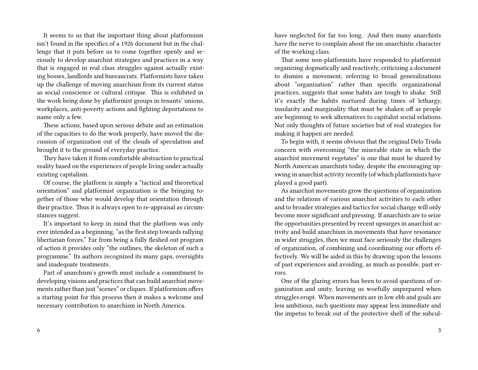It seems to us that the important thing about platformism isn't found in the specifics of a 1926 document but in the challenge that it puts before us to come together openly and seriously to develop anarchist strategies and practices in a way that is engaged in real class struggles against actually existing bosses, landlords and bureaucrats. Platformists have taken up the challenge of moving anarchism from its current status as social conscience or cultural critique. This is exhibited in the work being done by platformist groups in tenants' unions, workplaces, anti-poverty actions and fighting deportations to name only a few.

These actions, based upon serious debate and an estimation of the capacities to do the work properly, have moved the discussion of organization out of the clouds of speculation and brought it to the ground of everyday practice.

They have taken it from comfortable abstraction to practical reality based on the experiences of people living under actually existing capitalism.

Of course, the platform is simply a "tactical and theoretical orientation" and platformist organization is the bringing together of those who would develop that orientation through their practice. Thus it is always open to re-appraisal as circumstances suggest.

It's important to keep in mind that the platform was only ever intended as a beginning, "as the first step towards rallying libertarian forces." Far from being a fully fleshed out program of action it provides only "the outlines, the skeleton of such a programme." Its authors recognized its many gaps, oversights and inadequate treatments.

Part of anarchism's growth must include a commitment to developing visions and practices that can build anarchist movements rather than just "scenes" or cliques. If platformism offers a starting point for this process then it makes a welcome and necessary contribution to anarchism in North America.

have neglected for far too long. And then many anarchists have the nerve to complain about the un-anarchistic character of the working class.

That some non-platformists have responded to platformist organizing dogmatically and reactively, criticizing a document to dismiss a movement, referring to broad generalizations about "organization" rather than specific organizational practices, suggests that some habits are tough to shake. Still it's exactly the habits nurtured during times of lethargy, insularity and marginality that must be shaken off as people are beginning to seek alternatives to capitalist social relations. Not only thoughts of future societies but of real strategies for making it happen are needed.

To begin with, it seems obvious that the original Delo Truda concern with overcoming "the miserable state in which the anarchist movement vegetates" is one that must be shared by North American anarchists today, despite the encouraging upswing in anarchist activity recently (of which platformists have played a good part).

As anarchist movements grow the questions of organization and the relations of various anarchist activities to each other and to broader strategies and tactics for social change will only become more significant and pressing. If anarchists are to seize the opportunities presented by recent upsurges in anarchist activity and build anarchism in movements that have resonance in wider struggles, then we must face seriously the challenges of organization, of combining and coordinating our efforts effectively. We will be aided in this by drawing upon the lessons of past experiences and avoiding, as much as possible, past errors.

One of the glaring errors has been to avoid questions of organization and unity, leaving us woefully unprepared when struggles erupt. When movements are in low ebb and goals are less ambitious, such questions may appear less immediate and the impetus to break out of the protective shell of the subcul